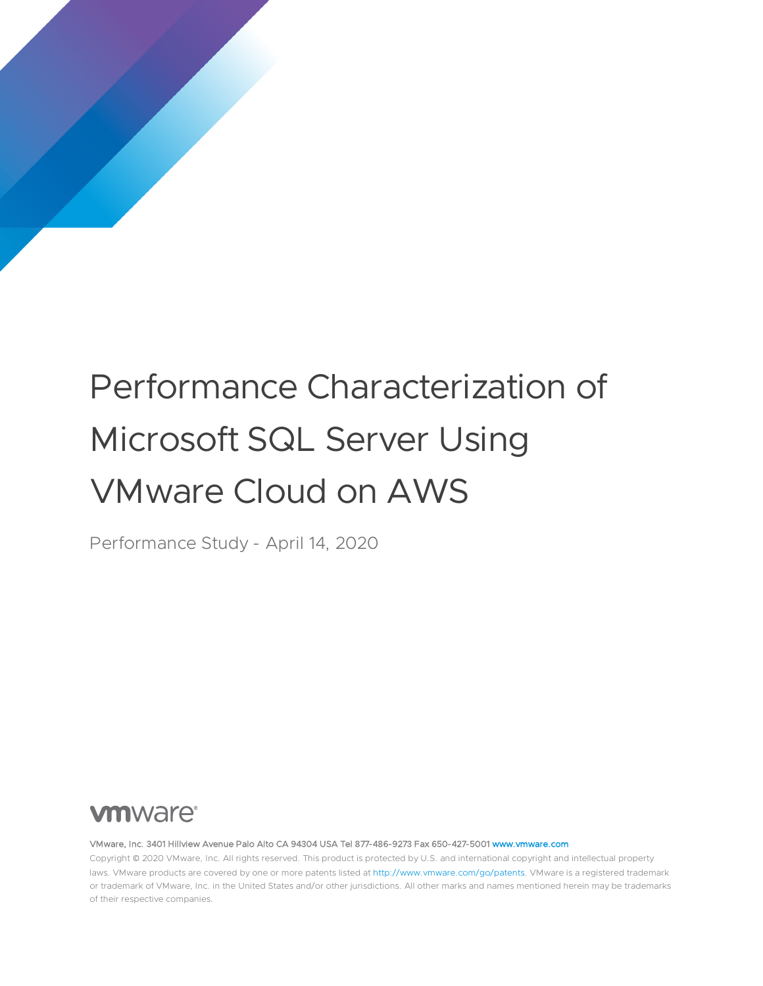# Performance Characterization of Microsoft SQL Server Using VMware Cloud on AWS

Performance Study - April 14, 2020

# **vm**ware<sup>®</sup>

VMware, Inc. 3401 Hillview Avenue Palo Alto CA 94304 USA Tel 877-486-9273 Fax 650-427-500[1 www.vmware.com](http://www.vmware.com/)

Copyright © 2020 VMware, Inc. All rights reserved. This product is protected by U.S. and international copyright and intellectual property laws. VMware products are covered by one or more patents listed a[t http://www.vmware.com/go/patents.](http://www.vmware.com/go/patents) VMware is a registered trademark or trademark of VMware, Inc. in the United States and/or other jurisdictions. All other marks and names mentioned herein may be trademarks of their respective companies.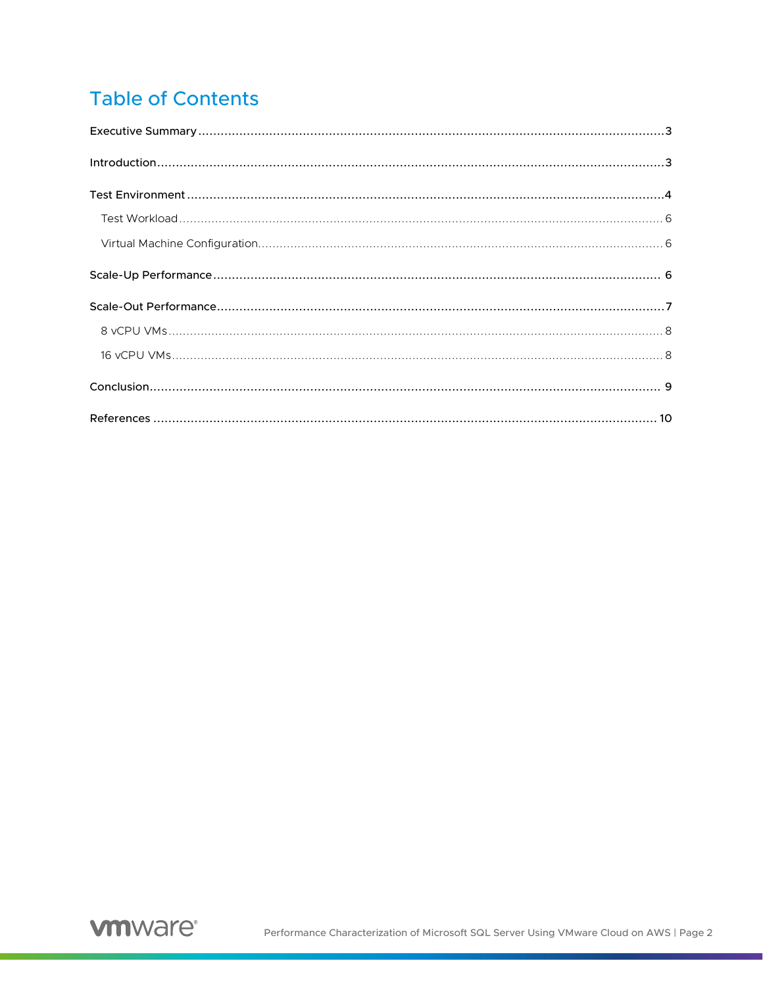# **Table of Contents**

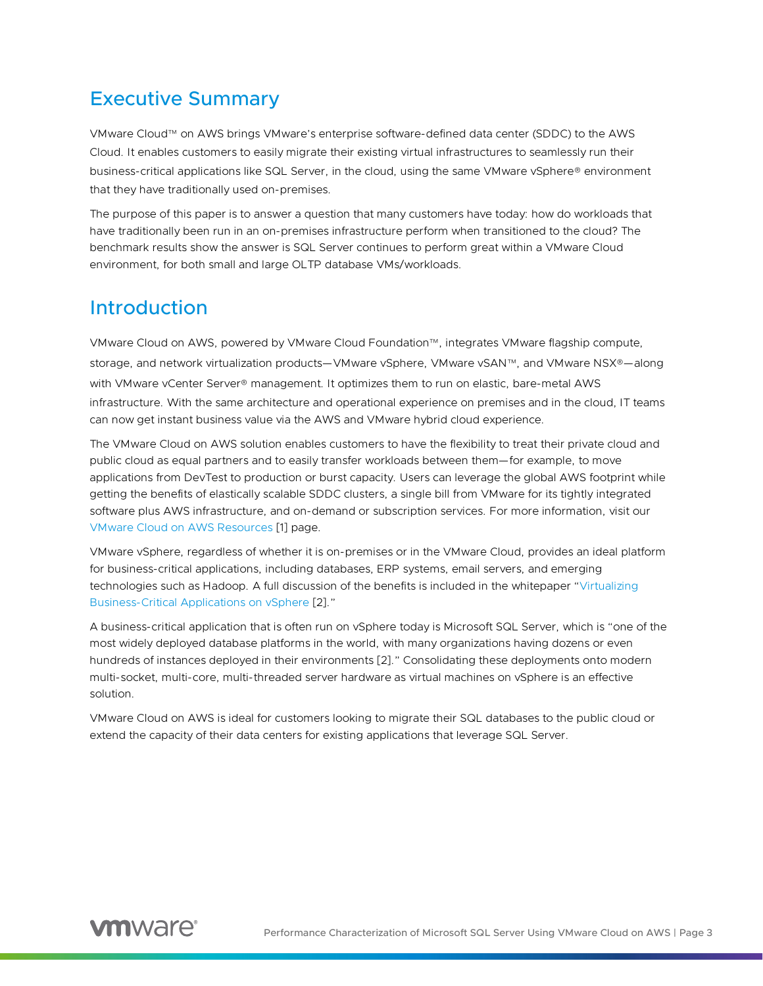## <span id="page-2-0"></span>Executive Summary

VMware Cloud™ on AWS brings VMware's enterprise software-defined data center (SDDC) to the AWS Cloud. It enables customers to easily migrate their existing virtual infrastructures to seamlessly run their business-critical applications like SQL Server, in the cloud, using the same VMware vSphere® environment that they have traditionally used on-premises.

The purpose of this paper is to answer a question that many customers have today: how do workloads that have traditionally been run in an on-premises infrastructure perform when transitioned to the cloud? The benchmark results show the answer is SQL Server continues to perform great within a VMware Cloud environment, for both small and large OLTP database VMs/workloads.

## <span id="page-2-1"></span>Introduction

VMware Cloud on AWS, powered by VMware Cloud Foundation™, integrates VMware flagship compute, storage, and network virtualization products—VMware vSphere, VMware vSAN™, and VMware NSX®—along with VMware vCenter Server® management. It optimizes them to run on elastic, bare-metal AWS infrastructure. With the same architecture and operational experience on premises and in the cloud, IT teams can now get instant business value via the AWS and VMware hybrid cloud experience.

The VMware Cloud on AWS solution enables customers to have the flexibility to treat their private cloud and public cloud as equal partners and to easily transfer workloads between them—for example, to move applications from DevTest to production or burst capacity. Users can leverage the global AWS footprint while getting the benefits of elastically scalable SDDC clusters, a single bill from VMware for its tightly integrated software plus AWS infrastructure, and on-demand or subscription services. For more information, visit our [VMware Cloud on AWS Resources](https://cloud.vmware.com/vmc-aws/resources) [\[1\]](#page-9-1) page.

VMware vSphere, regardless of whether it is on-premises or in the VMware Cloud, provides an ideal platform for business-critical applications, including databases, ERP systems, email servers, and emerging technologies such as Hadoop. A full discussion of the benefits is included in the whitepaper ["Virtualizing](http://www.vmware.com/files/pdf/solutions/VMware-Virtualizing-Business-Critical-Apps-on-VMware_en-wp.pdf)  [Business-Critical Applications on vSphere](http://www.vmware.com/files/pdf/solutions/VMware-Virtualizing-Business-Critical-Apps-on-VMware_en-wp.pdf) [\[2\]](#page-9-2)."

A business-critical application that is often run on vSphere today is Microsoft SQL Server, which is "one of the most widely deployed database platforms in the world, with many organizations having dozens or even hundreds of instances deployed in their environments [\[2\]](#page-9-2)." Consolidating these deployments onto modern multi-socket, multi-core, multi-threaded server hardware as virtual machines on vSphere is an effective solution.

VMware Cloud on AWS is ideal for customers looking to migrate their SQL databases to the public cloud or extend the capacity of their data centers for existing applications that leverage SQL Server.

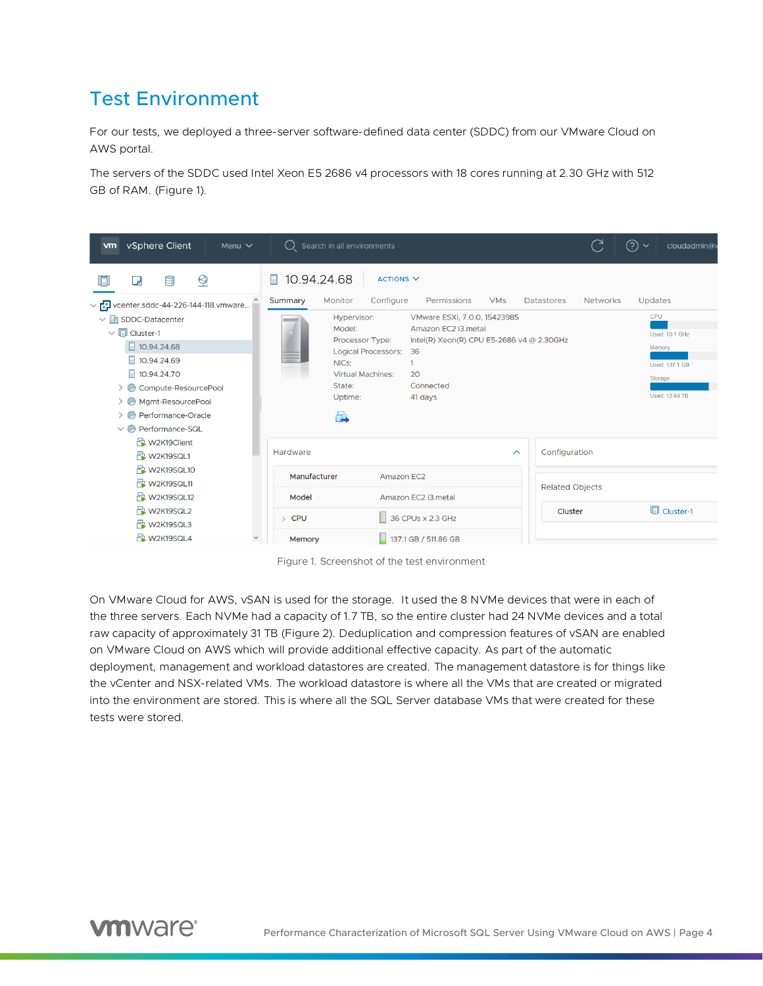## <span id="page-3-0"></span>Test Environment

For our tests, we deployed a three-server software-defined data center (SDDC) from our VMware Cloud on AWS portal.

The servers of the SDDC used Intel Xeon E5 2686 v4 processors with 18 cores running at 2.30 GHz with 512 GB of RAM. (Figure 1).

| vSphere Client<br>Menu $\vee$<br><b>vm</b>                                                                                                                                                                                                                | $\bigcup$ Search in all environments                                                                                                                                                                                                                                          | C               | ℗<br>$\checkmark$<br>cloudadmin@                                               |
|-----------------------------------------------------------------------------------------------------------------------------------------------------------------------------------------------------------------------------------------------------------|-------------------------------------------------------------------------------------------------------------------------------------------------------------------------------------------------------------------------------------------------------------------------------|-----------------|--------------------------------------------------------------------------------|
| $\overline{\mathcal{Q}}$<br>n<br>팀<br>⋻                                                                                                                                                                                                                   | 10.94.24.68<br>ACTIONS <sub>V</sub><br>П                                                                                                                                                                                                                                      |                 |                                                                                |
| $\vee$ <sup>1</sup> / <sub>1</sub> vcenter.sddc-44-226-144-118.vmware                                                                                                                                                                                     | Monitor<br>Configure<br>Permissions<br><b>VMs</b><br>Summary<br><b>Datastores</b>                                                                                                                                                                                             | <b>Networks</b> | Updates                                                                        |
| $\vee$ <b>in</b> SDDC-Datacenter<br>$\vee$ $\Box$ Cluster-1<br>10.94.24.68<br>$\Box$ 10.94.24.69<br>□ 10.94.24.70<br>> @ Compute-ResourcePool<br>A Mgmt-ResourcePool<br>$\triangleright$ $\ominus$ Performance-Oracle<br>$\vee$ $\ominus$ Performance-SQL | Hypervisor:<br>VMware ESXi, 7.0.0, 15423985<br>Amazon EC2 i3.metal<br>Model:<br>Processor Type:<br>Intel(R) Xeon(R) CPU E5-2686 v4 @ 2.30GHz<br><b>Logical Processors:</b><br>36<br>NICs:<br><b>Virtual Machines:</b><br>20<br>State:<br>Connected<br>Uptime:<br>41 days<br>曡 |                 | CPU<br>Used: 10.1 GHz<br>Memory<br>Used: 137.1 GB<br>Storage<br>Used: 12.64 TB |
| W2K19Client<br><b>N</b> W2K19SQL1                                                                                                                                                                                                                         | Configuration<br>Hardware<br>$\wedge$                                                                                                                                                                                                                                         |                 |                                                                                |
| <b>N</b> W2K19SQL10<br><b>N</b> W2K19SQL11                                                                                                                                                                                                                | Manufacturer<br>Amazon EC2<br><b>Related Objects</b>                                                                                                                                                                                                                          |                 |                                                                                |
| H W2K19SQL12                                                                                                                                                                                                                                              | Model<br>Amazon EC2 i3.metal                                                                                                                                                                                                                                                  |                 |                                                                                |
| Ht W2K19SQL2<br><b>N</b> W2K19SQL3                                                                                                                                                                                                                        | Cluster<br>36 CPUs x 2.3 GHz<br><b>CPU</b><br>$\rightarrow$                                                                                                                                                                                                                   |                 | <b>D</b> Cluster-1                                                             |
| <b>N</b> W2K19SQL4<br>$\checkmark$                                                                                                                                                                                                                        | $\frac{1}{2}$ 137.1 GB / 511.86 GB<br>Memory                                                                                                                                                                                                                                  |                 |                                                                                |

Figure 1. Screenshot of the test environment

On VMware Cloud for AWS, vSAN is used for the storage. It used the 8 NVMe devices that were in each of the three servers. Each NVMe had a capacity of 1.7 TB, so the entire cluster had 24 NVMe devices and a total raw capacity of approximately 31 TB (Figure 2). Deduplication and compression features of vSAN are enabled on VMware Cloud on AWS which will provide additional effective capacity. As part of the automatic deployment, management and workload datastores are created. The management datastore is for things like the vCenter and NSX-related VMs. The workload datastore is where all the VMs that are created or migrated into the environment are stored. This is where all the SQL Server database VMs that were created for these tests were stored.

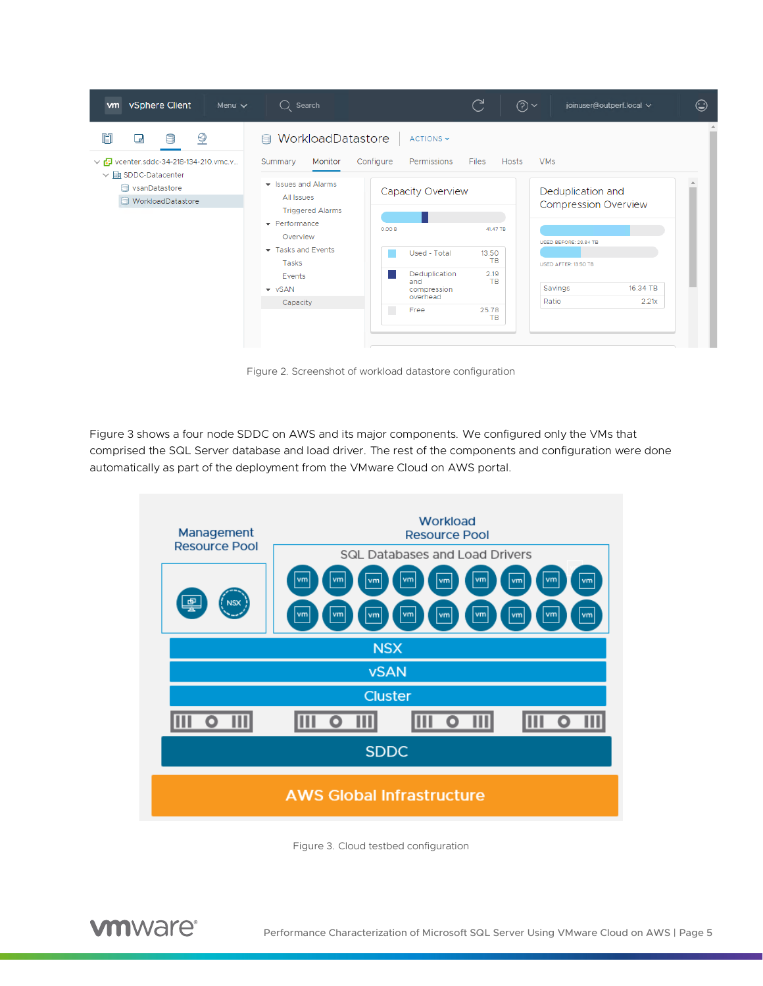

Figure 2. Screenshot of workload datastore configuration

Figure 3 shows a four node SDDC on AWS and its major components. We configured only the VMs that comprised the SQL Server database and load driver. The rest of the components and configuration were done automatically as part of the deployment from the VMware Cloud on AWS portal.



Figure 3. Cloud testbed configuration

**vm**ware<sup>®</sup>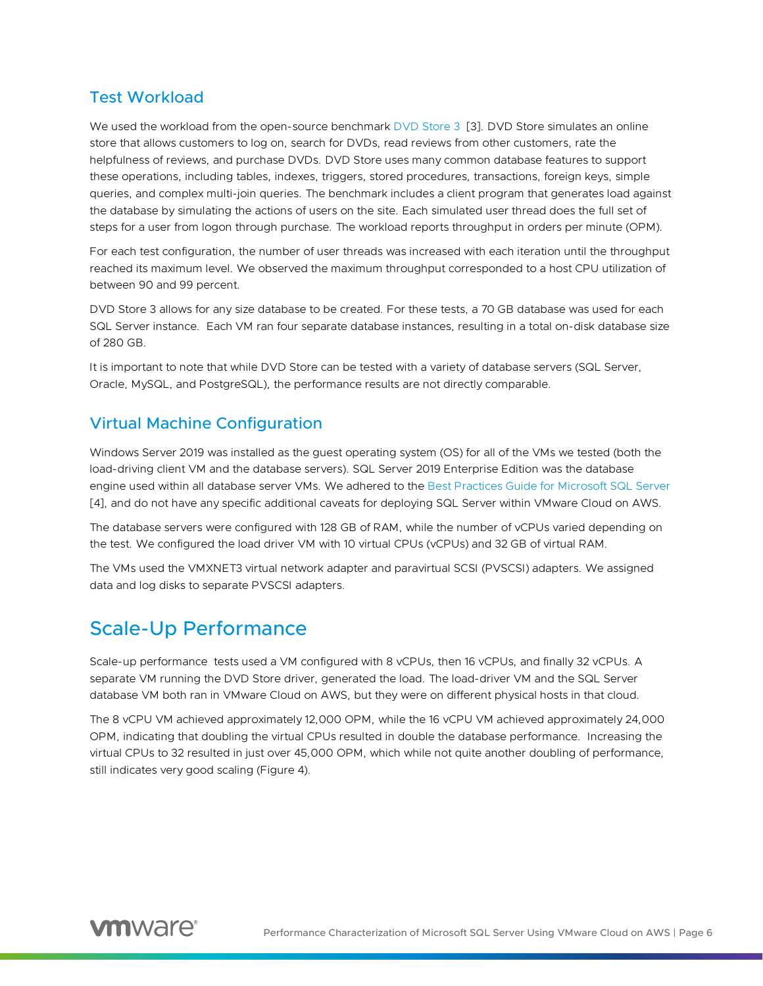#### <span id="page-5-0"></span>Test Workload

We used the workload from the open-source benchmark [DVD Store 3](http://www.github.com/dvdstore/ds3) [\[3\]](#page-9-3). DVD Store simulates an online store that allows customers to log on, search for DVDs, read reviews from other customers, rate the helpfulness of reviews, and purchase DVDs. DVD Store uses many common database features to support these operations, including tables, indexes, triggers, stored procedures, transactions, foreign keys, simple queries, and complex multi-join queries. The benchmark includes a client program that generates load against the database by simulating the actions of users on the site. Each simulated user thread does the full set of steps for a user from logon through purchase. The workload reports throughput in orders per minute (OPM).

For each test configuration, the number of user threads was increased with each iteration until the throughput reached its maximum level. We observed the maximum throughput corresponded to a host CPU utilization of between 90 and 99 percent.

DVD Store 3 allows for any size database to be created. For these tests, a 70 GB database was used for each SQL Server instance. Each VM ran four separate database instances, resulting in a total on-disk database size of 280 GB.

It is important to note that while DVD Store can be tested with a variety of database servers (SQL Server, Oracle, MySQL, and PostgreSQL), the performance results are not directly comparable.

#### <span id="page-5-1"></span>Virtual Machine Configuration

Windows Server 2019 was installed as the guest operating system (OS) for all of the VMs we tested (both the load-driving client VM and the database servers). SQL Server 2019 Enterprise Edition was the database engine used within all database server VMs. We adhered to the [Best Practices Guide for Microsoft SQL Server](https://www.vmware.com/content/dam/digitalmarketing/vmware/en/pdf/solutions/sql-server-on-vmware-best-practices-guide.pdf) [\[4\]](#page-9-4), and do not have any specific additional caveats for deploying SQL Server within VMware Cloud on AWS.

The database servers were configured with 128 GB of RAM, while the number of vCPUs varied depending on the test. We configured the load driver VM with 10 virtual CPUs (vCPUs) and 32 GB of virtual RAM.

The VMs used the VMXNET3 virtual network adapter and paravirtual SCSI (PVSCSI) adapters. We assigned data and log disks to separate PVSCSI adapters.

## <span id="page-5-2"></span>Scale-Up Performance

Scale-up performance tests used a VM configured with 8 vCPUs, then 16 vCPUs, and finally 32 vCPUs. A separate VM running the DVD Store driver, generated the load. The load-driver VM and the SQL Server database VM both ran in VMware Cloud on AWS, but they were on different physical hosts in that cloud.

The 8 vCPU VM achieved approximately 12,000 OPM, while the 16 vCPU VM achieved approximately 24,000 OPM, indicating that doubling the virtual CPUs resulted in double the database performance. Increasing the virtual CPUs to 32 resulted in just over 45,000 OPM, which while not quite another doubling of performance, still indicates very good scaling (Figure 4).

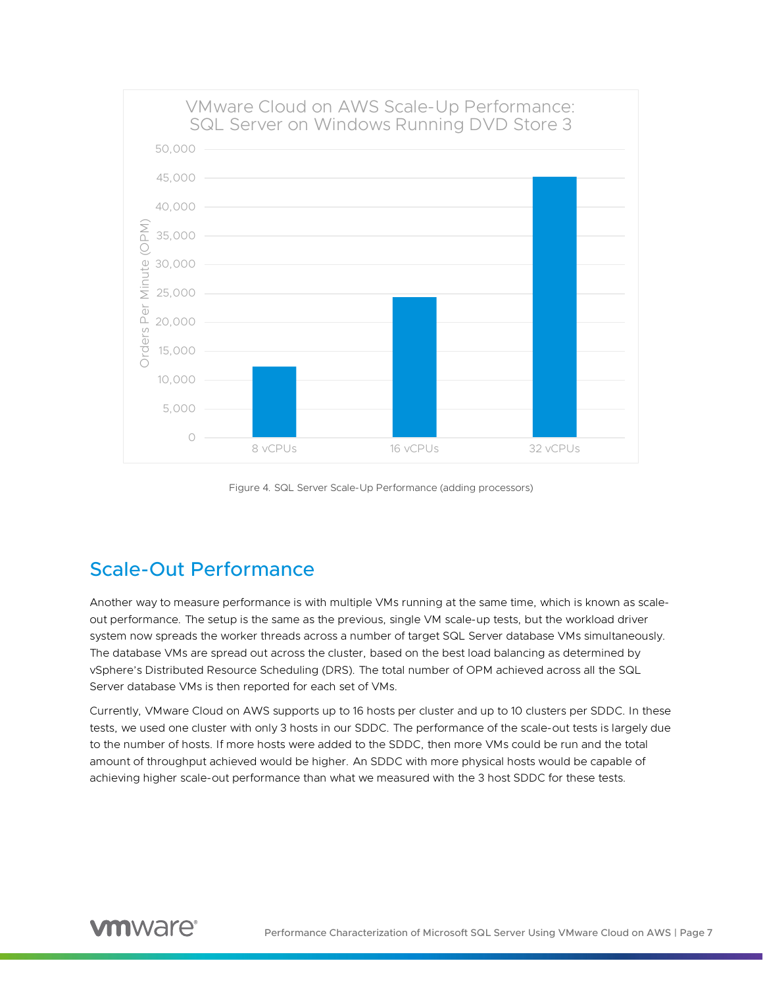

Figure 4. SQL Server Scale-Up Performance (adding processors)

## <span id="page-6-0"></span>Scale-Out Performance

Another way to measure performance is with multiple VMs running at the same time, which is known as scaleout performance. The setup is the same as the previous, single VM scale-up tests, but the workload driver system now spreads the worker threads across a number of target SQL Server database VMs simultaneously. The database VMs are spread out across the cluster, based on the best load balancing as determined by vSphere's Distributed Resource Scheduling (DRS). The total number of OPM achieved across all the SQL Server database VMs is then reported for each set of VMs.

Currently, VMware Cloud on AWS supports up to 16 hosts per cluster and up to 10 clusters per SDDC. In these tests, we used one cluster with only 3 hosts in our SDDC. The performance of the scale-out tests is largely due to the number of hosts. If more hosts were added to the SDDC, then more VMs could be run and the total amount of throughput achieved would be higher. An SDDC with more physical hosts would be capable of achieving higher scale-out performance than what we measured with the 3 host SDDC for these tests.

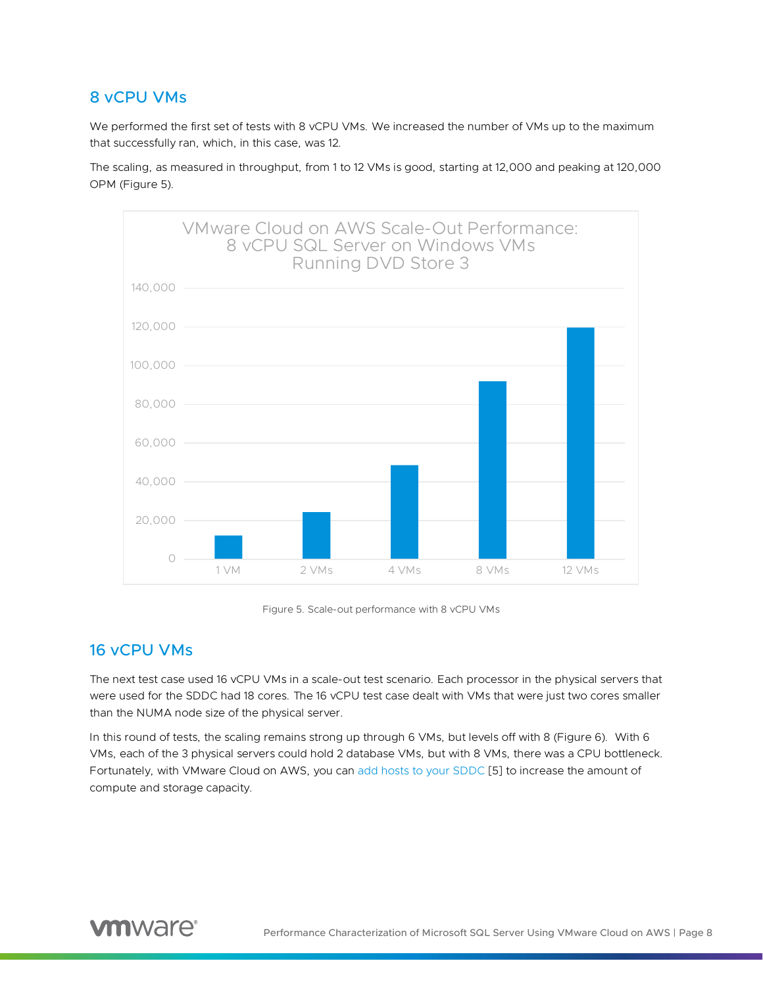#### <span id="page-7-0"></span>8 vCPU VMs

We performed the first set of tests with 8 vCPU VMs. We increased the number of VMs up to the maximum that successfully ran, which, in this case, was 12.

The scaling, as measured in throughput, from 1 to 12 VMs is good, starting at 12,000 and peaking at 120,000 OPM (Figure 5).





#### <span id="page-7-1"></span>16 vCPU VMs

The next test case used 16 vCPU VMs in a scale-out test scenario. Each processor in the physical servers that were used for the SDDC had 18 cores. The 16 vCPU test case dealt with VMs that were just two cores smaller than the NUMA node size of the physical server.

In this round of tests, the scaling remains strong up through 6 VMs, but levels off with 8 (Figure 6). With 6 VMs, each of the 3 physical servers could hold 2 database VMs, but with 8 VMs, there was a CPU bottleneck. Fortunately, with VMware Cloud on AWS, you can [add hosts to your SDDC](https://docs.vmware.com/en/VMware-Cloud-on-AWS/services/com.vmware.vmc-aws-operations/GUID-53393BD8-4CA2-4608-A700-E2E2B9691D41.html) [\[5\]](#page-9-5) to increase the amount of compute and storage capacity.

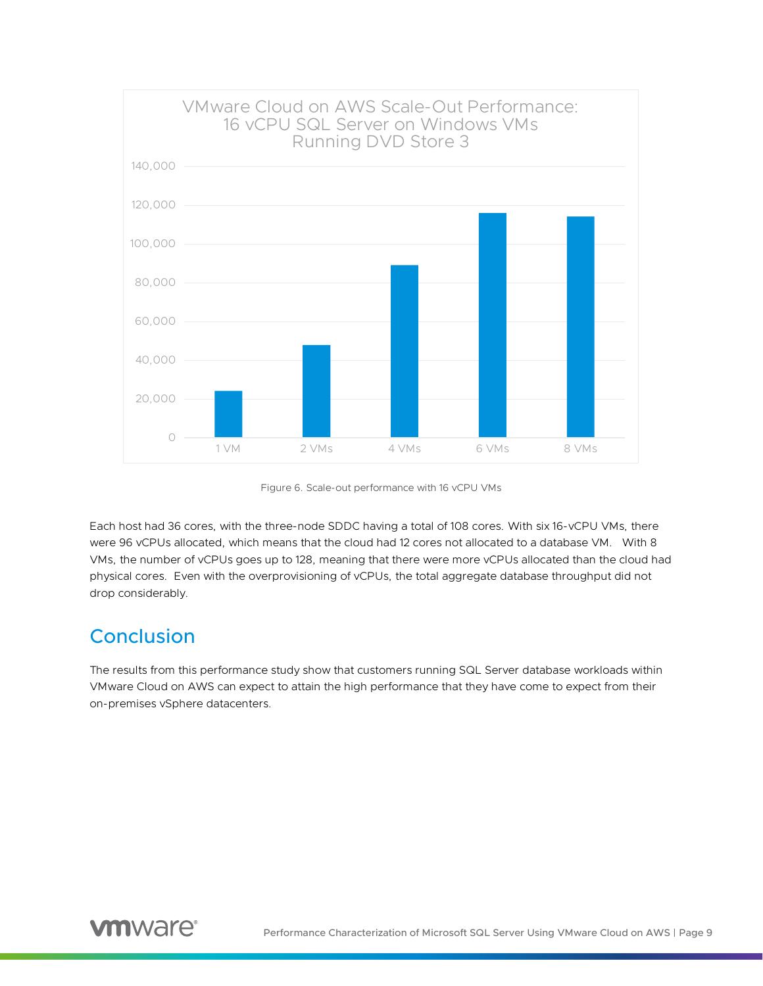

Figure 6. Scale-out performance with 16 vCPU VMs

Each host had 36 cores, with the three-node SDDC having a total of 108 cores. With six 16-vCPU VMs, there were 96 vCPUs allocated, which means that the cloud had 12 cores not allocated to a database VM. With 8 VMs, the number of vCPUs goes up to 128, meaning that there were more vCPUs allocated than the cloud had physical cores. Even with the overprovisioning of vCPUs, the total aggregate database throughput did not drop considerably.

## <span id="page-8-0"></span>**Conclusion**

The results from this performance study show that customers running SQL Server database workloads within VMware Cloud on AWS can expect to attain the high performance that they have come to expect from their on-premises vSphere datacenters.